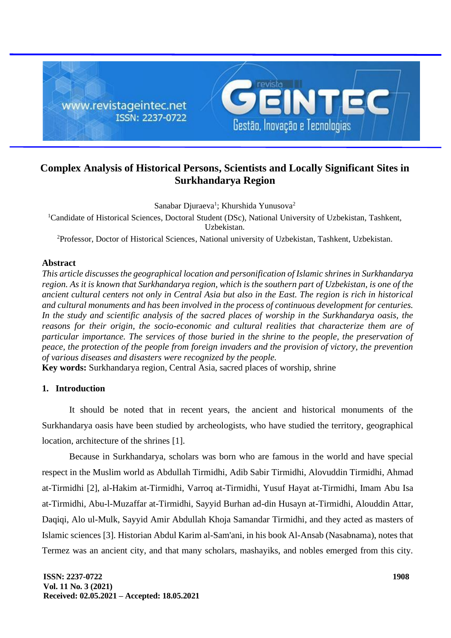

# **Complex Analysis of Historical Persons, Scientists and Locally Significant Sites in Surkhandarya Region**

Sanabar Djuraeva<sup>1</sup>; Khurshida Yunusova<sup>2</sup> <sup>1</sup>Candidate of Historical Sciences, Doctoral Student (DSc), National University of Uzbekistan, Tashkent, Uzbekistan.

<sup>2</sup>Professor, Doctor of Historical Sciences, National university of Uzbekistan, Tashkent, Uzbekistan.

## **Abstract**

*This article discusses the geographical location and personification of Islamic shrines in Surkhandarya region. As it is known that Surkhandarya region, which is the southern part of Uzbekistan, is one of the ancient cultural centers not only in Central Asia but also in the East. The region is rich in historical and cultural monuments and has been involved in the process of continuous development for centuries. In the study and scientific analysis of the sacred places of worship in the Surkhandarya oasis, the reasons for their origin, the socio-economic and cultural realities that characterize them are of particular importance. The services of those buried in the shrine to the people, the preservation of peace, the protection of the people from foreign invaders and the provision of victory, the prevention of various diseases and disasters were recognized by the people.*

**Key words:** Surkhandarya region, Central Asia, sacred places of worship, shrine

# **1. Introduction**

It should be noted that in recent years, the ancient and historical monuments of the Surkhandarya oasis have been studied by archeologists, who have studied the territory, geographical location, architecture of the shrines [1].

Because in Surkhandarya, scholars was born who are famous in the world and have special respect in the Muslim world as Abdullah Tirmidhi, Adib Sabir Tirmidhi, Alovuddin Tirmidhi, Ahmad at-Tirmidhi [2], al-Hakim at-Tirmidhi, Varroq at-Tirmidhi, Yusuf Hayat at-Tirmidhi, Imam Abu Isa at-Tirmidhi, Abu-l-Muzaffar at-Tirmidhi, Sayyid Burhan ad-din Husayn at-Tirmidhi, Alouddin Attar, Daqiqi, Alo ul-Mulk, Sayyid Amir Abdullah Khoja Samandar Tirmidhi, and they acted as masters of Islamic sciences [3]. Historian Abdul Karim al-Sam'ani, in his book Al-Ansab (Nasabnama), notes that Termez was an ancient city, and that many scholars, mashayiks, and nobles emerged from this city.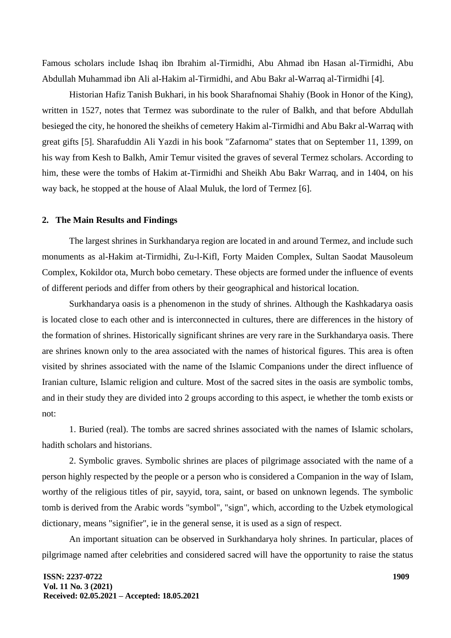Famous scholars include Ishaq ibn Ibrahim al-Tirmidhi, Abu Ahmad ibn Hasan al-Tirmidhi, Abu Abdullah Muhammad ibn Ali al-Hakim al-Tirmidhi, and Abu Bakr al-Warraq al-Tirmidhi [4].

Historian Hafiz Tanish Bukhari, in his book Sharafnomai Shahiy (Book in Honor of the King), written in 1527, notes that Termez was subordinate to the ruler of Balkh, and that before Abdullah besieged the city, he honored the sheikhs of cemetery Hakim al-Tirmidhi and Abu Bakr al-Warraq with great gifts [5]. Sharafuddin Ali Yazdi in his book "Zafarnoma" states that on September 11, 1399, on his way from Kesh to Balkh, Amir Temur visited the graves of several Termez scholars. According to him, these were the tombs of Hakim at-Tirmidhi and Sheikh Abu Bakr Warraq, and in 1404, on his way back, he stopped at the house of Alaal Muluk, the lord of Termez [6].

#### **2. The Main Results and Findings**

The largest shrines in Surkhandarya region are located in and around Termez, and include such monuments as al-Hakim at-Tirmidhi, Zu-l-Kifl, Forty Maiden Complex, Sultan Saodat Mausoleum Complex, Kokildor ota, Murch bobo cemetary. These objects are formed under the influence of events of different periods and differ from others by their geographical and historical location.

Surkhandarya oasis is a phenomenon in the study of shrines. Although the Kashkadarya oasis is located close to each other and is interconnected in cultures, there are differences in the history of the formation of shrines. Historically significant shrines are very rare in the Surkhandarya oasis. There are shrines known only to the area associated with the names of historical figures. This area is often visited by shrines associated with the name of the Islamic Companions under the direct influence of Iranian culture, Islamic religion and culture. Most of the sacred sites in the oasis are symbolic tombs, and in their study they are divided into 2 groups according to this aspect, ie whether the tomb exists or not:

1. Buried (real). The tombs are sacred shrines associated with the names of Islamic scholars, hadith scholars and historians.

2. Symbolic graves. Symbolic shrines are places of pilgrimage associated with the name of a person highly respected by the people or a person who is considered a Companion in the way of Islam, worthy of the religious titles of pir, sayyid, tora, saint, or based on unknown legends. The symbolic tomb is derived from the Arabic words "symbol", "sign", which, according to the Uzbek etymological dictionary, means "signifier", ie in the general sense, it is used as a sign of respect.

An important situation can be observed in Surkhandarya holy shrines. In particular, places of pilgrimage named after celebrities and considered sacred will have the opportunity to raise the status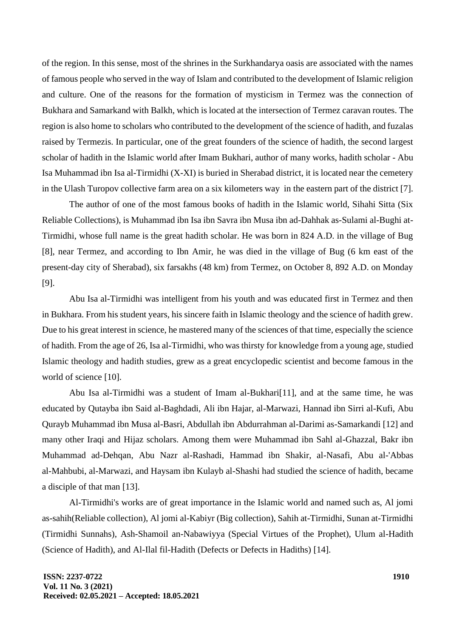of the region. In this sense, most of the shrines in the Surkhandarya oasis are associated with the names of famous people who served in the way of Islam and contributed to the development of Islamic religion and culture. One of the reasons for the formation of mysticism in Termez was the connection of Bukhara and Samarkand with Balkh, which is located at the intersection of Termez caravan routes. The region is also home to scholars who contributed to the development of the science of hadith, and fuzalas raised by Termezis. In particular, one of the great founders of the science of hadith, the second largest scholar of hadith in the Islamic world after Imam Bukhari, author of many works, hadith scholar - Abu Isa Muhammad ibn Isa al-Tirmidhi (X-XI) is buried in Sherabad district, it is located near the cemetery in the Ulash Turopov collective farm area on a six kilometers way in the eastern part of the district [7].

The author of one of the most famous books of hadith in the Islamic world, Sihahi Sitta (Six Reliable Collections), is Muhammad ibn Isa ibn Savra ibn Musa ibn ad-Dahhak as-Sulami al-Bughi at-Tirmidhi, whose full name is the great hadith scholar. He was born in 824 A.D. in the village of Bug [8], near Termez, and according to Ibn Amir, he was died in the village of Bug (6 km east of the present-day city of Sherabad), six farsakhs (48 km) from Termez, on October 8, 892 A.D. on Monday [9].

Abu Isa al-Tirmidhi was intelligent from his youth and was educated first in Termez and then in Bukhara. From his student years, his sincere faith in Islamic theology and the science of hadith grew. Due to his great interest in science, he mastered many of the sciences of that time, especially the science of hadith. From the age of 26, Isa al-Tirmidhi, who was thirsty for knowledge from a young age, studied Islamic theology and hadith studies, grew as a great encyclopedic scientist and become famous in the world of science [10].

Abu Isa al-Tirmidhi was a student of Imam al-Bukhari[11], and at the same time, he was educated by Qutayba ibn Said al-Baghdadi, Ali ibn Hajar, al-Marwazi, Hannad ibn Sirri al-Kufi, Abu Qurayb Muhammad ibn Musa al-Basri, Abdullah ibn Abdurrahman al-Darimi as-Samarkandi [12] and many other Iraqi and Hijaz scholars. Among them were Muhammad ibn Sahl al-Ghazzal, Bakr ibn Muhammad ad-Dehqan, Abu Nazr al-Rashadi, Hammad ibn Shakir, al-Nasafi, Abu al-'Abbas al-Mahbubi, al-Marwazi, and Haysam ibn Kulayb al-Shashi had studied the science of hadith, became a disciple of that man [13].

Al-Tirmidhi's works are of great importance in the Islamic world and named such as, Al jomi as-sahih(Reliable collection), Al jomi al-Kabiyr (Big collection), Sahih at-Tirmidhi, Sunan at-Tirmidhi (Tirmidhi Sunnahs), Ash-Shamoil an-Nabawiyya (Special Virtues of the Prophet), Ulum al-Hadith (Science of Hadith), and Al-Ilal fil-Hadith (Defects or Defects in Hadiths) [14].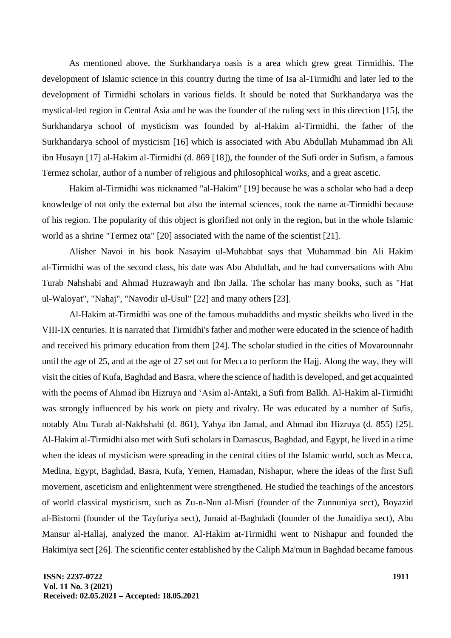As mentioned above, the Surkhandarya oasis is a area which grew great Tirmidhis. The development of Islamic science in this country during the time of Isa al-Tirmidhi and later led to the development of Tirmidhi scholars in various fields. It should be noted that Surkhandarya was the mystical-led region in Central Asia and he was the founder of the ruling sect in this direction [15], the Surkhandarya school of mysticism was founded by al-Hakim al-Tirmidhi, the father of the Surkhandarya school of mysticism [16] which is associated with Abu Abdullah Muhammad ibn Ali ibn Husayn [17] al-Hakim al-Tirmidhi (d. 869 [18]), the founder of the Sufi order in Sufism, a famous Termez scholar, author of a number of religious and philosophical works, and a great ascetic.

Hakim al-Tirmidhi was nicknamed "al-Hakim" [19] because he was a scholar who had a deep knowledge of not only the external but also the internal sciences, took the name at-Tirmidhi because of his region. The popularity of this object is glorified not only in the region, but in the whole Islamic world as a shrine "Termez ota" [20] associated with the name of the scientist [21].

Alisher Navoi in his book Nasayim ul-Muhabbat says that Muhammad bin Ali Hakim al-Tirmidhi was of the second class, his date was Abu Abdullah, and he had conversations with Abu Turab Nahshabi and Ahmad Huzrawayh and Ibn Jalla. The scholar has many books, such as "Hat ul-Waloyat", "Nahaj", "Navodir ul-Usul" [22] and many others [23].

Al-Hakim at-Tirmidhi was one of the famous muhaddiths and mystic sheikhs who lived in the VIII-IX centuries. It is narrated that Tirmidhi's father and mother were educated in the science of hadith and received his primary education from them [24]. The scholar studied in the cities of Movarounnahr until the age of 25, and at the age of 27 set out for Mecca to perform the Hajj. Along the way, they will visit the cities of Kufa, Baghdad and Basra, where the science of hadith is developed, and get acquainted with the poems of Ahmad ibn Hizruya and 'Asim al-Antaki, a Sufi from Balkh. Al-Hakim al-Tirmidhi was strongly influenced by his work on piety and rivalry. He was educated by a number of Sufis, notably Abu Turab al-Nakhshabi (d. 861), Yahya ibn Jamal, and Ahmad ibn Hizruya (d. 855) [25]. Al-Hakim al-Tirmidhi also met with Sufi scholars in Damascus, Baghdad, and Egypt, he lived in a time when the ideas of mysticism were spreading in the central cities of the Islamic world, such as Mecca, Medina, Egypt, Baghdad, Basra, Kufa, Yemen, Hamadan, Nishapur, where the ideas of the first Sufi movement, asceticism and enlightenment were strengthened. He studied the teachings of the ancestors of world classical mysticism, such as Zu-n-Nun al-Misri (founder of the Zunnuniya sect), Boyazid al-Bistomi (founder of the Tayfuriya sect), Junaid al-Baghdadi (founder of the Junaidiya sect), Abu Mansur al-Hallaj, analyzed the manor. Al-Hakim at-Tirmidhi went to Nishapur and founded the Hakimiya sect [26]. The scientific center established by the Caliph Ma'mun in Baghdad became famous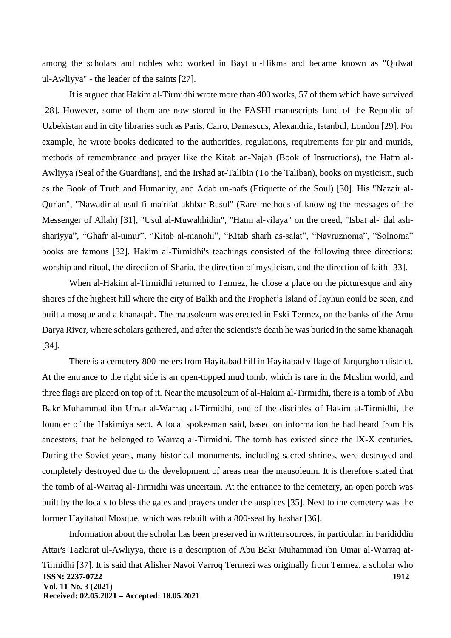among the scholars and nobles who worked in Bayt ul-Hikma and became known as "Qidwat ul-Awliyya" - the leader of the saints [27].

It is argued that Hakim al-Tirmidhi wrote more than 400 works, 57 of them which have survived [28]. However, some of them are now stored in the FASHI manuscripts fund of the Republic of Uzbekistan and in city libraries such as Paris, Cairo, Damascus, Alexandria, Istanbul, London [29]. For example, he wrote books dedicated to the authorities, regulations, requirements for pir and murids, methods of remembrance and prayer like the Kitab an-Najah (Book of Instructions), the Hatm al-Awliyya (Seal of the Guardians), and the Irshad at-Talibin (To the Taliban), books on mysticism, such as the Book of Truth and Humanity, and Adab un-nafs (Etiquette of the Soul) [30]. His "Nazair al-Qur'an", "Nawadir al-usul fi ma'rifat akhbar Rasul" (Rare methods of knowing the messages of the Messenger of Allah) [31], "Usul al-Muwahhidin", "Hatm al-vilaya" on the creed, "Isbat al-' ilal ashshariyya", "Ghafr al-umur", "Kitab al-manohi", "Kitab sharh as-salat", "Navruznoma", "Solnoma" books are famous [32]. Hakim al-Tirmidhi's teachings consisted of the following three directions: worship and ritual, the direction of Sharia, the direction of mysticism, and the direction of faith [33].

When al-Hakim al-Tirmidhi returned to Termez, he chose a place on the picturesque and airy shores of the highest hill where the city of Balkh and the Prophet's Island of Jayhun could be seen, and built a mosque and a khanaqah. The mausoleum was erected in Eski Termez, on the banks of the Amu Darya River, where scholars gathered, and after the scientist's death he was buried in the same khanaqah [34].

There is a cemetery 800 meters from Hayitabad hill in Hayitabad village of Jarqurghon district. At the entrance to the right side is an open-topped mud tomb, which is rare in the Muslim world, and three flags are placed on top of it. Near the mausoleum of al-Hakim al-Tirmidhi, there is a tomb of Abu Bakr Muhammad ibn Umar al-Warraq al-Tirmidhi, one of the disciples of Hakim at-Tirmidhi, the founder of the Hakimiya sect. A local spokesman said, based on information he had heard from his ancestors, that he belonged to Warraq al-Tirmidhi. The tomb has existed since the lX-X centuries. During the Soviet years, many historical monuments, including sacred shrines, were destroyed and completely destroyed due to the development of areas near the mausoleum. It is therefore stated that the tomb of al-Warraq al-Tirmidhi was uncertain. At the entrance to the cemetery, an open porch was built by the locals to bless the gates and prayers under the auspices [35]. Next to the cemetery was the former Hayitabad Mosque, which was rebuilt with a 800-seat by hashar [36].

**ISSN: 2237-0722 Vol. 11 No. 3 (2021) Received: 02.05.2021 – Accepted: 18.05.2021 1912** Information about the scholar has been preserved in written sources, in particular, in Farididdin Attar's Tazkirat ul-Awliyya, there is a description of Abu Bakr Muhammad ibn Umar al-Warraq at-Tirmidhi [37]. It is said that Alisher Navoi Varroq Termezi was originally from Termez, a scholar who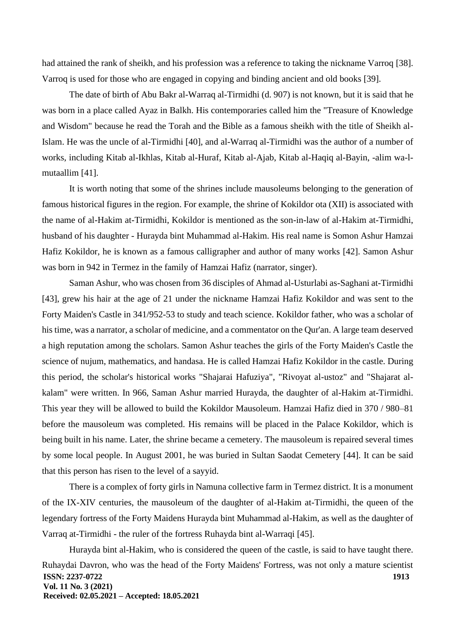had attained the rank of sheikh, and his profession was a reference to taking the nickname Varroq [38]. Varroq is used for those who are engaged in copying and binding ancient and old books [39].

The date of birth of Abu Bakr al-Warraq al-Tirmidhi (d. 907) is not known, but it is said that he was born in a place called Ayaz in Balkh. His contemporaries called him the "Treasure of Knowledge and Wisdom" because he read the Torah and the Bible as a famous sheikh with the title of Sheikh al-Islam. He was the uncle of al-Tirmidhi [40], and al-Warraq al-Tirmidhi was the author of a number of works, including Kitab al-Ikhlas, Kitab al-Huraf, Kitab al-Ajab, Kitab al-Haqiq al-Bayin, -alim wa-lmutaallim [41].

It is worth noting that some of the shrines include mausoleums belonging to the generation of famous historical figures in the region. For example, the shrine of Kokildor ota (XII) is associated with the name of al-Hakim at-Tirmidhi, Kokildor is mentioned as the son-in-law of al-Hakim at-Tirmidhi, husband of his daughter - Hurayda bint Muhammad al-Hakim. His real name is Somon Ashur Hamzai Hafiz Kokildor, he is known as a famous calligrapher and author of many works [42]. Samon Ashur was born in 942 in Termez in the family of Hamzai Hafiz (narrator, singer).

Saman Ashur, who was chosen from 36 disciples of Ahmad al-Usturlabi as-Saghani at-Tirmidhi [43], grew his hair at the age of 21 under the nickname Hamzai Hafiz Kokildor and was sent to the Forty Maiden's Castle in 341/952-53 to study and teach science. Kokildor father, who was a scholar of his time, was a narrator, a scholar of medicine, and a commentator on the Qur'an. A large team deserved a high reputation among the scholars. Samon Ashur teaches the girls of the Forty Maiden's Castle the science of nujum, mathematics, and handasa. He is called Hamzai Hafiz Kokildor in the castle. During this period, the scholar's historical works "Shajarai Hafuziya", "Rivoyat al-ustoz" and "Shajarat alkalam" were written. In 966, Saman Ashur married Hurayda, the daughter of al-Hakim at-Tirmidhi. This year they will be allowed to build the Kokildor Mausoleum. Hamzai Hafiz died in 370 / 980–81 before the mausoleum was completed. His remains will be placed in the Palace Kokildor, which is being built in his name. Later, the shrine became a cemetery. The mausoleum is repaired several times by some local people. In August 2001, he was buried in Sultan Saodat Cemetery [44]. It can be said that this person has risen to the level of a sayyid.

There is a complex of forty girls in Namuna collective farm in Termez district. It is a monument of the IX-XIV centuries, the mausoleum of the daughter of al-Hakim at-Tirmidhi, the queen of the legendary fortress of the Forty Maidens Hurayda bint Muhammad al-Hakim, as well as the daughter of Varraq at-Tirmidhi - the ruler of the fortress Ruhayda bint al-Warraqi [45].

**ISSN: 2237-0722 Vol. 11 No. 3 (2021) Received: 02.05.2021 – Accepted: 18.05.2021 1913** Hurayda bint al-Hakim, who is considered the queen of the castle, is said to have taught there. Ruhaydai Davron, who was the head of the Forty Maidens' Fortress, was not only a mature scientist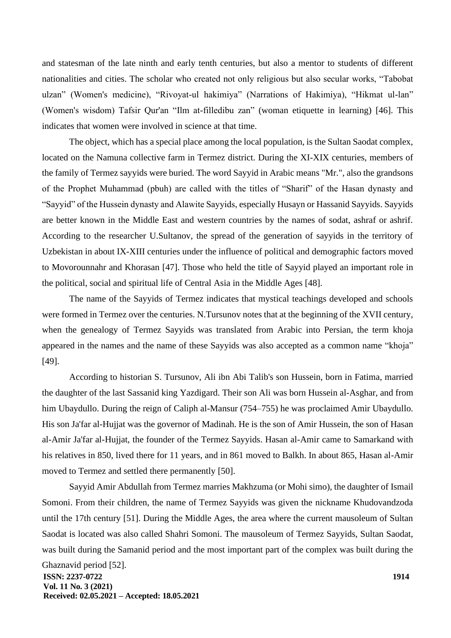and statesman of the late ninth and early tenth centuries, but also a mentor to students of different nationalities and cities. The scholar who created not only religious but also secular works, "Tabobat ulzan" (Women's medicine), "Rivoyat-ul hakimiya" (Narrations of Hakimiya), "Hikmat ul-lan" (Women's wisdom) Tafsir Qur'an "Ilm at-filledibu zan" (woman etiquette in learning) [46]. This indicates that women were involved in science at that time.

The object, which has a special place among the local population, is the Sultan Saodat complex, located on the Namuna collective farm in Termez district. During the XI-XIX centuries, members of the family of Termez sayyids were buried. The word Sayyid in Arabic means "Mr.", also the grandsons of the Prophet Muhammad (pbuh) are called with the titles of "Sharif" of the Hasan dynasty and "Sayyid" of the Hussein dynasty and Alawite Sayyids, especially Husayn or Hassanid Sayyids. Sayyids are better known in the Middle East and western countries by the names of sodat, ashraf or ashrif. According to the researcher U.Sultanov, the spread of the generation of sayyids in the territory of Uzbekistan in about IX-XIII centuries under the influence of political and demographic factors moved to Movorounnahr and Khorasan [47]. Those who held the title of Sayyid played an important role in the political, social and spiritual life of Central Asia in the Middle Ages [48].

The name of the Sayyids of Termez indicates that mystical teachings developed and schools were formed in Termez over the centuries. N.Tursunov notes that at the beginning of the XVII century, when the genealogy of Termez Sayyids was translated from Arabic into Persian, the term khoja appeared in the names and the name of these Sayyids was also accepted as a common name "khoja" [49].

According to historian S. Tursunov, Ali ibn Abi Talib's son Hussein, born in Fatima, married the daughter of the last Sassanid king Yazdigard. Their son Ali was born Hussein al-Asghar, and from him Ubaydullo. During the reign of Caliph al-Mansur (754–755) he was proclaimed Amir Ubaydullo. His son Ja'far al-Hujjat was the governor of Madinah. He is the son of Amir Hussein, the son of Hasan al-Amir Ja'far al-Hujjat, the founder of the Termez Sayyids. Hasan al-Amir came to Samarkand with his relatives in 850, lived there for 11 years, and in 861 moved to Balkh. In about 865, Hasan al-Amir moved to Termez and settled there permanently [50].

Sayyid Amir Abdullah from Termez marries Makhzuma (or Mohi simo), the daughter of Ismail Somoni. From their children, the name of Termez Sayyids was given the nickname Khudovandzoda until the 17th century [51]. During the Middle Ages, the area where the current mausoleum of Sultan Saodat is located was also called Shahri Somoni. The mausoleum of Termez Sayyids, Sultan Saodat, was built during the Samanid period and the most important part of the complex was built during the

**ISSN: 2237-0722 Vol. 11 No. 3 (2021) Received: 02.05.2021 – Accepted: 18.05.2021** Ghaznavid period [52].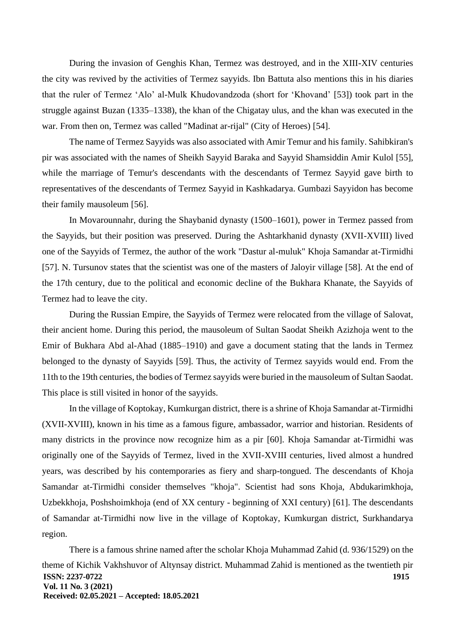During the invasion of Genghis Khan, Termez was destroyed, and in the XIII-XIV centuries the city was revived by the activities of Termez sayyids. Ibn Battuta also mentions this in his diaries that the ruler of Termez 'Alo' al-Mulk Khudovandzoda (short for 'Khovand' [53]) took part in the struggle against Buzan (1335–1338), the khan of the Chigatay ulus, and the khan was executed in the war. From then on, Termez was called "Madinat ar-rijal" (City of Heroes) [54].

The name of Termez Sayyids was also associated with Amir Temur and his family. Sahibkiran's pir was associated with the names of Sheikh Sayyid Baraka and Sayyid Shamsiddin Amir Kulol [55], while the marriage of Temur's descendants with the descendants of Termez Sayyid gave birth to representatives of the descendants of Termez Sayyid in Kashkadarya. Gumbazi Sayyidon has become their family mausoleum [56].

In Movarounnahr, during the Shaybanid dynasty (1500–1601), power in Termez passed from the Sayyids, but their position was preserved. During the Ashtarkhanid dynasty (XVII-XVIII) lived one of the Sayyids of Termez, the author of the work "Dastur al-muluk" Khoja Samandar at-Tirmidhi [57]. N. Tursunov states that the scientist was one of the masters of Jaloyir village [58]. At the end of the 17th century, due to the political and economic decline of the Bukhara Khanate, the Sayyids of Termez had to leave the city.

During the Russian Empire, the Sayyids of Termez were relocated from the village of Salovat, their ancient home. During this period, the mausoleum of Sultan Saodat Sheikh Azizhoja went to the Emir of Bukhara Abd al-Ahad (1885–1910) and gave a document stating that the lands in Termez belonged to the dynasty of Sayyids [59]. Thus, the activity of Termez sayyids would end. From the 11th to the 19th centuries, the bodies of Termez sayyids were buried in the mausoleum of Sultan Saodat. This place is still visited in honor of the sayyids.

In the village of Koptokay, Kumkurgan district, there is a shrine of Khoja Samandar at-Tirmidhi (XVII-XVIII), known in his time as a famous figure, ambassador, warrior and historian. Residents of many districts in the province now recognize him as a pir [60]. Khoja Samandar at-Tirmidhi was originally one of the Sayyids of Termez, lived in the XVII-XVIII centuries, lived almost a hundred years, was described by his contemporaries as fiery and sharp-tongued. The descendants of Khoja Samandar at-Tirmidhi consider themselves "khoja". Scientist had sons Khoja, Abdukarimkhoja, Uzbekkhoja, Poshshoimkhoja (end of XX century - beginning of XXI century) [61]. The descendants of Samandar at-Tirmidhi now live in the village of Koptokay, Kumkurgan district, Surkhandarya region.

**ISSN: 2237-0722 Vol. 11 No. 3 (2021) Received: 02.05.2021 – Accepted: 18.05.2021 1915** There is a famous shrine named after the scholar Khoja Muhammad Zahid (d. 936/1529) on the theme of Kichik Vakhshuvor of Altynsay district. Muhammad Zahid is mentioned as the twentieth pir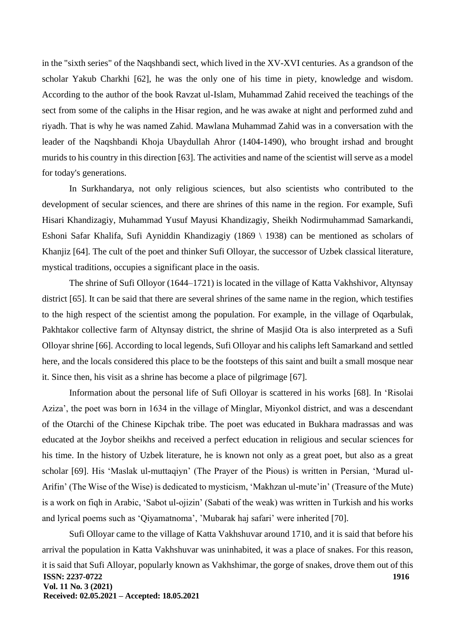in the "sixth series" of the Naqshbandi sect, which lived in the XV-XVI centuries. As a grandson of the scholar Yakub Charkhi [62], he was the only one of his time in piety, knowledge and wisdom. According to the author of the book Ravzat ul-Islam, Muhammad Zahid received the teachings of the sect from some of the caliphs in the Hisar region, and he was awake at night and performed zuhd and riyadh. That is why he was named Zahid. Mawlana Muhammad Zahid was in a conversation with the leader of the Naqshbandi Khoja Ubaydullah Ahror (1404-1490), who brought irshad and brought murids to his country in this direction [63]. The activities and name of the scientist will serve as a model for today's generations.

In Surkhandarya, not only religious sciences, but also scientists who contributed to the development of secular sciences, and there are shrines of this name in the region. For example, Sufi Hisari Khandizagiy, Muhammad Yusuf Mayusi Khandizagiy, Sheikh Nodirmuhammad Samarkandi, Eshoni Safar Khalifa, Sufi Ayniddin Khandizagiy (1869 \ 1938) can be mentioned as scholars of Khanjiz [64]. The cult of the poet and thinker Sufi Olloyar, the successor of Uzbek classical literature, mystical traditions, occupies a significant place in the oasis.

The shrine of Sufi Olloyor (1644–1721) is located in the village of Katta Vakhshivor, Altynsay district [65]. It can be said that there are several shrines of the same name in the region, which testifies to the high respect of the scientist among the population. For example, in the village of Oqarbulak, Pakhtakor collective farm of Altynsay district, the shrine of Masjid Ota is also interpreted as a Sufi Olloyar shrine [66]. According to local legends, Sufi Olloyar and his caliphs left Samarkand and settled here, and the locals considered this place to be the footsteps of this saint and built a small mosque near it. Since then, his visit as a shrine has become a place of pilgrimage [67].

Information about the personal life of Sufi Olloyar is scattered in his works [68]. In 'Risolai Aziza', the poet was born in 1634 in the village of Minglar, Miyonkol district, and was a descendant of the Otarchi of the Chinese Kipchak tribe. The poet was educated in Bukhara madrassas and was educated at the Joybor sheikhs and received a perfect education in religious and secular sciences for his time. In the history of Uzbek literature, he is known not only as a great poet, but also as a great scholar [69]. His 'Maslak ul-muttaqiyn' (The Prayer of the Pious) is written in Persian, 'Murad ul-Arifin' (The Wise of the Wise) is dedicated to mysticism, 'Makhzan ul-mute'in' (Treasure of the Mute) is a work on fiqh in Arabic, 'Sabot ul-ojizin' (Sabati of the weak) was written in Turkish and his works and lyrical poems such as 'Qiyamatnoma', 'Mubarak haj safari' were inherited [70].

**ISSN: 2237-0722 Vol. 11 No. 3 (2021) Received: 02.05.2021 – Accepted: 18.05.2021 1916** Sufi Olloyar came to the village of Katta Vakhshuvar around 1710, and it is said that before his arrival the population in Katta Vakhshuvar was uninhabited, it was a place of snakes. For this reason, it is said that Sufi Alloyar, popularly known as Vakhshimar, the gorge of snakes, drove them out of this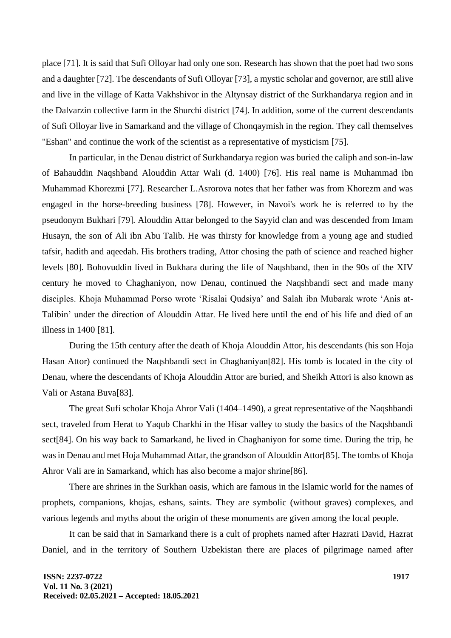place [71]. It is said that Sufi Olloyar had only one son. Research has shown that the poet had two sons and a daughter [72]. The descendants of Sufi Olloyar [73], a mystic scholar and governor, are still alive and live in the village of Katta Vakhshivor in the Altynsay district of the Surkhandarya region and in the Dalvarzin collective farm in the Shurchi district [74]. In addition, some of the current descendants of Sufi Olloyar live in Samarkand and the village of Chonqaymish in the region. They call themselves "Eshan" and continue the work of the scientist as a representative of mysticism [75].

In particular, in the Denau district of Surkhandarya region was buried the caliph and son-in-law of Bahauddin Naqshband Alouddin Attar Wali (d. 1400) [76]. His real name is Muhammad ibn Muhammad Khorezmi [77]. Researcher L.Asrorova notes that her father was from Khorezm and was engaged in the horse-breeding business [78]. However, in Navoi's work he is referred to by the pseudonym Bukhari [79]. Alouddin Attar belonged to the Sayyid clan and was descended from Imam Husayn, the son of Ali ibn Abu Talib. He was thirsty for knowledge from a young age and studied tafsir, hadith and aqeedah. His brothers trading, Attor chosing the path of science and reached higher levels [80]. Bohovuddin lived in Bukhara during the life of Naqshband, then in the 90s of the XIV century he moved to Chaghaniyon, now Denau, continued the Naqshbandi sect and made many disciples. Khoja Muhammad Porso wrote 'Risalai Qudsiya' and Salah ibn Mubarak wrote 'Anis at-Talibin' under the direction of Alouddin Attar. He lived here until the end of his life and died of an illness in 1400 [81].

During the 15th century after the death of Khoja Alouddin Attor, his descendants (his son Hoja Hasan Attor) continued the Naqshbandi sect in Chaghaniyan[82]. His tomb is located in the city of Denau, where the descendants of Khoja Alouddin Attor are buried, and Sheikh Attori is also known as Vali or Astana Buva[83].

The great Sufi scholar Khoja Ahror Vali (1404–1490), a great representative of the Naqshbandi sect, traveled from Herat to Yaqub Charkhi in the Hisar valley to study the basics of the Naqshbandi sect[84]. On his way back to Samarkand, he lived in Chaghaniyon for some time. During the trip, he was in Denau and met Hoja Muhammad Attar, the grandson of Alouddin Attor[85]. The tombs of Khoja Ahror Vali are in Samarkand, which has also become a major shrine[86].

There are shrines in the Surkhan oasis, which are famous in the Islamic world for the names of prophets, companions, khojas, eshans, saints. They are symbolic (without graves) complexes, and various legends and myths about the origin of these monuments are given among the local people.

It can be said that in Samarkand there is a cult of prophets named after Hazrati David, Hazrat Daniel, and in the territory of Southern Uzbekistan there are places of pilgrimage named after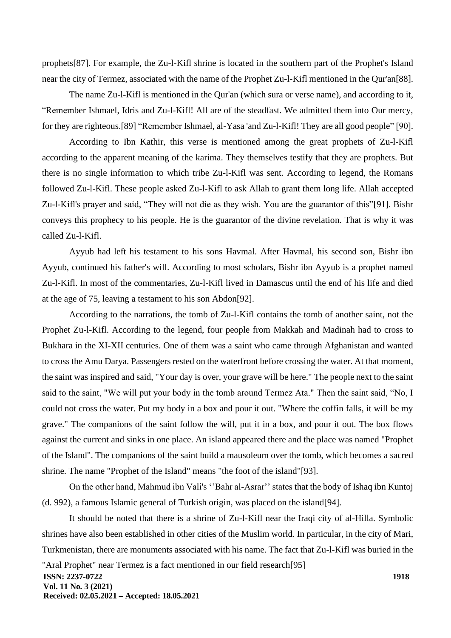prophets[87]. For example, the Zu-l-Kifl shrine is located in the southern part of the Prophet's Island near the city of Termez, associated with the name of the Prophet Zu-l-Kifl mentioned in the Qur'an[88].

The name Zu-l-Kifl is mentioned in the Qur'an (which sura or verse name), and according to it, "Remember Ishmael, Idris and Zu-l-Kifl! All are of the steadfast. We admitted them into Our mercy, for they are righteous.[89] "Remember Ishmael, al-Yasa 'and Zu-l-Kifl! They are all good people" [90].

According to Ibn Kathir, this verse is mentioned among the great prophets of Zu-l-Kifl according to the apparent meaning of the karima. They themselves testify that they are prophets. But there is no single information to which tribe Zu-l-Kifl was sent. According to legend, the Romans followed Zu-l-Kifl. These people asked Zu-l-Kifl to ask Allah to grant them long life. Allah accepted Zu-l-Kifl's prayer and said, "They will not die as they wish. You are the guarantor of this"[91]. Bishr conveys this prophecy to his people. He is the guarantor of the divine revelation. That is why it was called Zu-l-Kifl.

Ayyub had left his testament to his sons Havmal. After Havmal, his second son, Bishr ibn Ayyub, continued his father's will. According to most scholars, Bishr ibn Ayyub is a prophet named Zu-l-Kifl. In most of the commentaries, Zu-l-Kifl lived in Damascus until the end of his life and died at the age of 75, leaving a testament to his son Abdon[92].

According to the narrations, the tomb of Zu-l-Kifl contains the tomb of another saint, not the Prophet Zu-l-Kifl. According to the legend, four people from Makkah and Madinah had to cross to Bukhara in the XI-XII centuries. One of them was a saint who came through Afghanistan and wanted to cross the Amu Darya. Passengers rested on the waterfront before crossing the water. At that moment, the saint was inspired and said, "Your day is over, your grave will be here." The people next to the saint said to the saint, "We will put your body in the tomb around Termez Ata." Then the saint said, "No, I could not cross the water. Put my body in a box and pour it out. "Where the coffin falls, it will be my grave." The companions of the saint follow the will, put it in a box, and pour it out. The box flows against the current and sinks in one place. An island appeared there and the place was named "Prophet of the Island". The companions of the saint build a mausoleum over the tomb, which becomes a sacred shrine. The name "Prophet of the Island" means "the foot of the island"[93].

On the other hand, Mahmud ibn Vali's ''Bahr al-Asrar'' states that the body of Ishaq ibn Kuntoj (d. 992), a famous Islamic general of Turkish origin, was placed on the island[94].

**ISSN: 2237-0722 Vol. 11 No. 3 (2021) Received: 02.05.2021 – Accepted: 18.05.2021 1918** It should be noted that there is a shrine of Zu-l-Kifl near the Iraqi city of al-Hilla. Symbolic shrines have also been established in other cities of the Muslim world. In particular, in the city of Mari, Turkmenistan, there are monuments associated with his name. The fact that Zu-l-Kifl was buried in the "Aral Prophet" near Termez is a fact mentioned in our field research[95]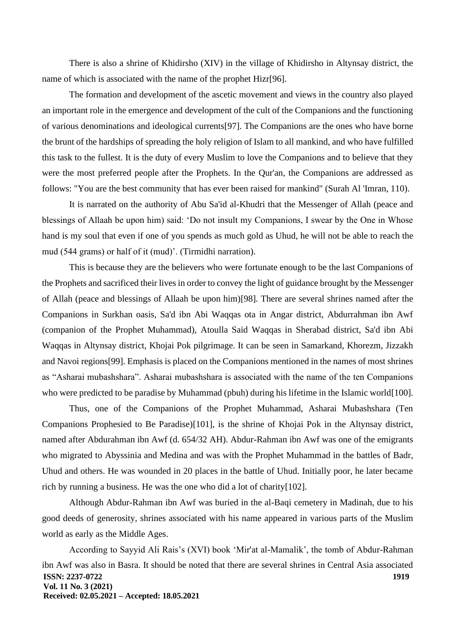There is also a shrine of Khidirsho (XIV) in the village of Khidirsho in Altynsay district, the name of which is associated with the name of the prophet Hizr[96].

The formation and development of the ascetic movement and views in the country also played an important role in the emergence and development of the cult of the Companions and the functioning of various denominations and ideological currents[97]. The Companions are the ones who have borne the brunt of the hardships of spreading the holy religion of Islam to all mankind, and who have fulfilled this task to the fullest. It is the duty of every Muslim to love the Companions and to believe that they were the most preferred people after the Prophets. In the Qur'an, the Companions are addressed as follows: "You are the best community that has ever been raised for mankind" (Surah Al 'Imran, 110).

It is narrated on the authority of Abu Sa'id al-Khudri that the Messenger of Allah (peace and blessings of Allaah be upon him) said: 'Do not insult my Companions, I swear by the One in Whose hand is my soul that even if one of you spends as much gold as Uhud, he will not be able to reach the mud (544 grams) or half of it (mud)'. (Tirmidhi narration).

This is because they are the believers who were fortunate enough to be the last Companions of the Prophets and sacrificed their lives in order to convey the light of guidance brought by the Messenger of Allah (peace and blessings of Allaah be upon him)[98]. There are several shrines named after the Companions in Surkhan oasis, Sa'd ibn Abi Waqqas ota in Angar district, Abdurrahman ibn Awf (companion of the Prophet Muhammad), Atoulla Said Waqqas in Sherabad district, Sa'd ibn Abi Waqqas in Altynsay district, Khojai Pok pilgrimage. It can be seen in Samarkand, Khorezm, Jizzakh and Navoi regions[99]. Emphasis is placed on the Companions mentioned in the names of most shrines as "Asharai mubashshara". Asharai mubashshara is associated with the name of the ten Companions who were predicted to be paradise by Muhammad (pbuh) during his lifetime in the Islamic world[100].

Thus, one of the Companions of the Prophet Muhammad, Asharai Mubashshara (Ten Companions Prophesied to Be Paradise)[101], is the shrine of Khojai Pok in the Altynsay district, named after Abdurahman ibn Awf (d. 654/32 AH). Abdur-Rahman ibn Awf was one of the emigrants who migrated to Abyssinia and Medina and was with the Prophet Muhammad in the battles of Badr, Uhud and others. He was wounded in 20 places in the battle of Uhud. Initially poor, he later became rich by running a business. He was the one who did a lot of charity[102].

Although Abdur-Rahman ibn Awf was buried in the al-Baqi cemetery in Madinah, due to his good deeds of generosity, shrines associated with his name appeared in various parts of the Muslim world as early as the Middle Ages.

**ISSN: 2237-0722 Vol. 11 No. 3 (2021) Received: 02.05.2021 – Accepted: 18.05.2021 1919** According to Sayyid Ali Rais's (XVI) book 'Mir'at al-Mamalik', the tomb of Abdur-Rahman ibn Awf was also in Basra. It should be noted that there are several shrines in Central Asia associated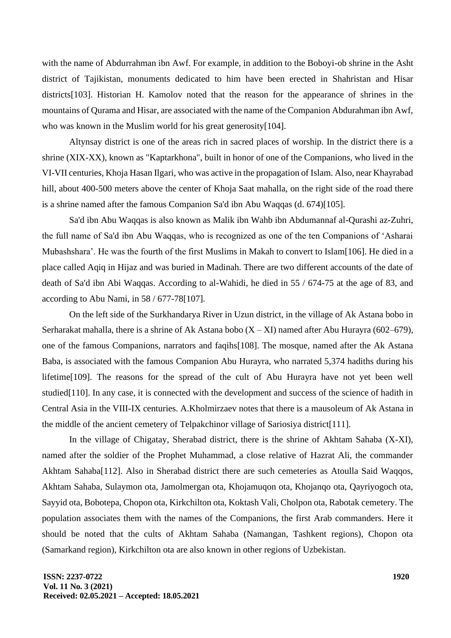with the name of Abdurrahman ibn Awf. For example, in addition to the Boboyi-ob shrine in the Asht district of Tajikistan, monuments dedicated to him have been erected in Shahristan and Hisar districts[103]. Historian H. Kamolov noted that the reason for the appearance of shrines in the mountains of Qurama and Hisar, are associated with the name of the Companion Abdurahman ibn Awf, who was known in the Muslim world for his great generosity[104].

Altynsay district is one of the areas rich in sacred places of worship. In the district there is a shrine (XIX-XX), known as "Kaptarkhona", built in honor of one of the Companions, who lived in the VI-VII centuries, Khoja Hasan Ilgari, who was active in the propagation of Islam. Also, near Khayrabad hill, about 400-500 meters above the center of Khoja Saat mahalla, on the right side of the road there is a shrine named after the famous Companion Sa'd ibn Abu Waqqas (d. 674)[105].

Sa'd ibn Abu Waqqas is also known as Malik ibn Wahb ibn Abdumannaf al-Qurashi az-Zuhri, the full name of Sa'd ibn Abu Waqqas, who is recognized as one of the ten Companions of 'Asharai Mubashshara'. He was the fourth of the first Muslims in Makah to convert to Islam[106]. He died in a place called Aqiq in Hijaz and was buried in Madinah. There are two different accounts of the date of death of Sa'd ibn Abi Waqqas. According to al-Wahidi, he died in 55 / 674-75 at the age of 83, and according to Abu Nami, in 58 / 677-78[107].

On the left side of the Surkhandarya River in Uzun district, in the village of Ak Astana bobo in Serharakat mahalla, there is a shrine of Ak Astana bobo  $(X - XI)$  named after Abu Hurayra (602–679), one of the famous Companions, narrators and faqihs[108]. The mosque, named after the Ak Astana Baba, is associated with the famous Companion Abu Hurayra, who narrated 5,374 hadiths during his lifetime[109]. The reasons for the spread of the cult of Abu Hurayra have not yet been well studied[110]. In any case, it is connected with the development and success of the science of hadith in Central Asia in the VIII-IX centuries. A.Kholmirzaev notes that there is a mausoleum of Ak Astana in the middle of the ancient cemetery of Telpakchinor village of Sariosiya district[111].

In the village of Chigatay, Sherabad district, there is the shrine of Akhtam Sahaba (X-XI), named after the soldier of the Prophet Muhammad, a close relative of Hazrat Ali, the commander Akhtam Sahaba[112]. Also in Sherabad district there are such cemeteries as Atoulla Said Waqqos, Akhtam Sahaba, Sulaymon ota, Jamolmergan ota, Khojamuqon ota, Khojanqo ota, Qayriyogoch ota, Sayyid ota, Bobotepa, Chopon ota, Kirkchilton ota, Koktash Vali, Cholpon ota, Rabotak cemetery. The population associates them with the names of the Companions, the first Arab commanders. Here it should be noted that the cults of Akhtam Sahaba (Namangan, Tashkent regions), Chopon ota (Samarkand region), Kirkchilton ota are also known in other regions of Uzbekistan.

**ISSN: 2237-0722 Vol. 11 No. 3 (2021) Received: 02.05.2021 – Accepted: 18.05.2021**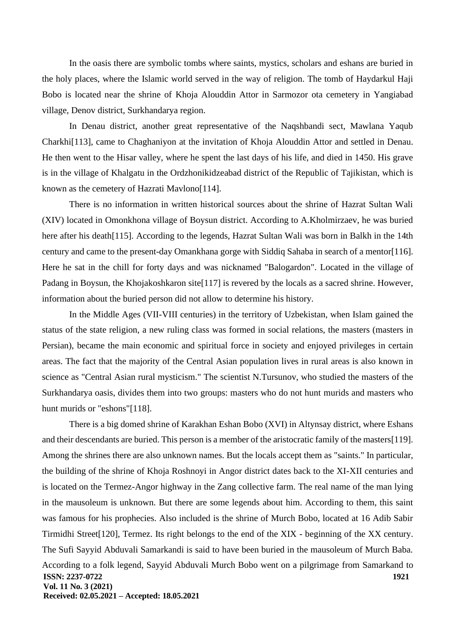In the oasis there are symbolic tombs where saints, mystics, scholars and eshans are buried in the holy places, where the Islamic world served in the way of religion. The tomb of Haydarkul Haji Bobo is located near the shrine of Khoja Alouddin Attor in Sarmozor ota cemetery in Yangiabad village, Denov district, Surkhandarya region.

In Denau district, another great representative of the Naqshbandi sect, Mawlana Yaqub Charkhi[113], came to Chaghaniyon at the invitation of Khoja Alouddin Attor and settled in Denau. He then went to the Hisar valley, where he spent the last days of his life, and died in 1450. His grave is in the village of Khalgatu in the Ordzhonikidzeabad district of the Republic of Tajikistan, which is known as the cemetery of Hazrati Mavlono[114].

There is no information in written historical sources about the shrine of Hazrat Sultan Wali (XIV) located in Omonkhona village of Boysun district. According to A.Kholmirzaev, he was buried here after his death[115]. According to the legends, Hazrat Sultan Wali was born in Balkh in the 14th century and came to the present-day Omankhana gorge with Siddiq Sahaba in search of a mentor[116]. Here he sat in the chill for forty days and was nicknamed "Balogardon". Located in the village of Padang in Boysun, the Khojakoshkaron site [117] is revered by the locals as a sacred shrine. However, information about the buried person did not allow to determine his history.

In the Middle Ages (VII-VIII centuries) in the territory of Uzbekistan, when Islam gained the status of the state religion, a new ruling class was formed in social relations, the masters (masters in Persian), became the main economic and spiritual force in society and enjoyed privileges in certain areas. The fact that the majority of the Central Asian population lives in rural areas is also known in science as "Central Asian rural mysticism." The scientist N.Tursunov, who studied the masters of the Surkhandarya oasis, divides them into two groups: masters who do not hunt murids and masters who hunt murids or "eshons"[118].

**ISSN: 2237-0722 Vol. 11 No. 3 (2021) Received: 02.05.2021 – Accepted: 18.05.2021 1921** There is a big domed shrine of Karakhan Eshan Bobo (XVI) in Altynsay district, where Eshans and their descendants are buried. This person is a member of the aristocratic family of the masters[119]. Among the shrines there are also unknown names. But the locals accept them as "saints." In particular, the building of the shrine of Khoja Roshnoyi in Angor district dates back to the XI-XII centuries and is located on the Termez-Angor highway in the Zang collective farm. The real name of the man lying in the mausoleum is unknown. But there are some legends about him. According to them, this saint was famous for his prophecies. Also included is the shrine of Murch Bobo, located at 16 Adib Sabir Tirmidhi Street[120], Termez. Its right belongs to the end of the XIX - beginning of the XX century. The Sufi Sayyid Abduvali Samarkandi is said to have been buried in the mausoleum of Murch Baba. According to a folk legend, Sayyid Abduvali Murch Bobo went on a pilgrimage from Samarkand to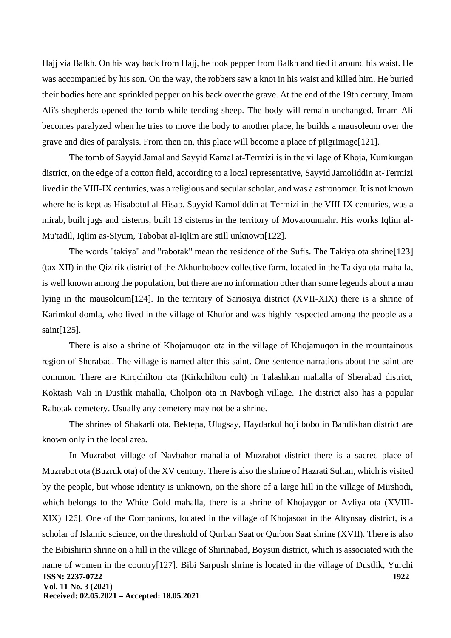Hajj via Balkh. On his way back from Hajj, he took pepper from Balkh and tied it around his waist. He was accompanied by his son. On the way, the robbers saw a knot in his waist and killed him. He buried their bodies here and sprinkled pepper on his back over the grave. At the end of the 19th century, Imam Ali's shepherds opened the tomb while tending sheep. The body will remain unchanged. Imam Ali becomes paralyzed when he tries to move the body to another place, he builds a mausoleum over the grave and dies of paralysis. From then on, this place will become a place of pilgrimage[121].

The tomb of Sayyid Jamal and Sayyid Kamal at-Termizi is in the village of Khoja, Kumkurgan district, on the edge of a cotton field, according to a local representative, Sayyid Jamoliddin at-Termizi lived in the VIII-IX centuries, was a religious and secular scholar, and was a astronomer. It is not known where he is kept as Hisabotul al-Hisab. Sayyid Kamoliddin at-Termizi in the VIII-IX centuries, was a mirab, built jugs and cisterns, built 13 cisterns in the territory of Movarounnahr. His works Iqlim al-Mu'tadil, Iqlim as-Siyum, Tabobat al-Iqlim are still unknown[122].

The words "takiya" and "rabotak" mean the residence of the Sufis. The Takiya ota shrine[123] (tax XII) in the Qizirik district of the Akhunboboev collective farm, located in the Takiya ota mahalla, is well known among the population, but there are no information other than some legends about a man lying in the mausoleum[124]. In the territory of Sariosiya district (XVII-XIX) there is a shrine of Karimkul domla, who lived in the village of Khufor and was highly respected among the people as a saint[125].

There is also a shrine of Khojamuqon ota in the village of Khojamuqon in the mountainous region of Sherabad. The village is named after this saint. One-sentence narrations about the saint are common. There are Kirqchilton ota (Kirkchilton cult) in Talashkan mahalla of Sherabad district, Koktash Vali in Dustlik mahalla, Cholpon ota in Navbogh village. The district also has a popular Rabotak cemetery. Usually any cemetery may not be a shrine.

The shrines of Shakarli ota, Bektepa, Ulugsay, Haydarkul hoji bobo in Bandikhan district are known only in the local area.

**ISSN: 2237-0722 Vol. 11 No. 3 (2021) Received: 02.05.2021 – Accepted: 18.05.2021 1922** In Muzrabot village of Navbahor mahalla of Muzrabot district there is a sacred place of Muzrabot ota (Buzruk ota) of the XV century. There is also the shrine of Hazrati Sultan, which is visited by the people, but whose identity is unknown, on the shore of a large hill in the village of Mirshodi, which belongs to the White Gold mahalla, there is a shrine of Khojaygor or Avliya ota (XVIII-XIX)[126]. One of the Companions, located in the village of Khojasoat in the Altynsay district, is a scholar of Islamic science, on the threshold of Qurban Saat or Qurbon Saat shrine (XVII). There is also the Bibishirin shrine on a hill in the village of Shirinabad, Boysun district, which is associated with the name of women in the country[127]. Bibi Sarpush shrine is located in the village of Dustlik, Yurchi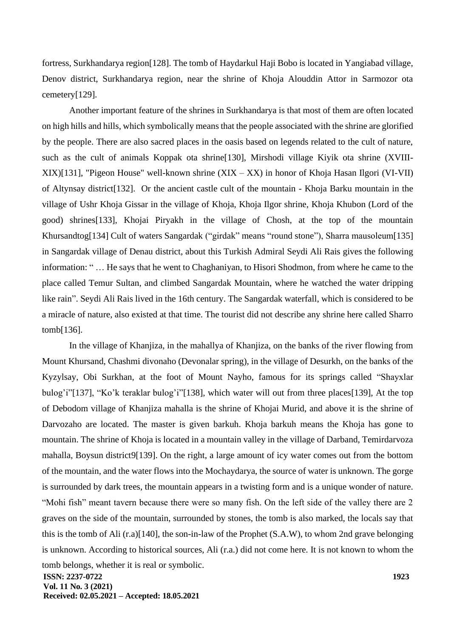fortress, Surkhandarya region[128]. The tomb of Haydarkul Haji Bobo is located in Yangiabad village, Denov district, Surkhandarya region, near the shrine of Khoja Alouddin Attor in Sarmozor ota cemetery[129].

Another important feature of the shrines in Surkhandarya is that most of them are often located on high hills and hills, which symbolically means that the people associated with the shrine are glorified by the people. There are also sacred places in the oasis based on legends related to the cult of nature, such as the cult of animals Koppak ota shrine[130], Mirshodi village Kiyik ota shrine (XVIII-XIX)[131], "Pigeon House" well-known shrine (XIX – XX) in honor of Khoja Hasan Ilgori (VI-VII) of Altynsay district[132]. Or the ancient castle cult of the mountain - Khoja Barku mountain in the village of Ushr Khoja Gissar in the village of Khoja, Khoja Ilgor shrine, Khoja Khubon (Lord of the good) shrines[133], Khojai Piryakh in the village of Chosh, at the top of the mountain Khursandtog[134] Cult of waters Sangardak ("girdak" means "round stone"), Sharra mausoleum[135] in Sangardak village of Denau district, about this Turkish Admiral Seydi Ali Rais gives the following information: " … He says that he went to Chaghaniyan, to Hisori Shodmon, from where he came to the place called Temur Sultan, and climbed Sangardak Mountain, where he watched the water dripping like rain". Seydi Ali Rais lived in the 16th century. The Sangardak waterfall, which is considered to be a miracle of nature, also existed at that time. The tourist did not describe any shrine here called Sharro tomb[136].

**ISSN: 2237-0722 Vol. 11 No. 3 (2021) Received: 02.05.2021 – Accepted: 18.05.2021 1923** In the village of Khanjiza, in the mahallya of Khanjiza, on the banks of the river flowing from Mount Khursand, Chashmi divonaho (Devonalar spring), in the village of Desurkh, on the banks of the Kyzylsay, Obi Surkhan, at the foot of Mount Nayho, famous for its springs called "Shayxlar bulog'i"[137], "Ko'k teraklar bulog'i"[138], which water will out from three places[139], At the top of Debodom village of Khanjiza mahalla is the shrine of Khojai Murid, and above it is the shrine of Darvozaho are located. The master is given barkuh. Khoja barkuh means the Khoja has gone to mountain. The shrine of Khoja is located in a mountain valley in the village of Darband, Temirdarvoza mahalla, Boysun district9[139]. On the right, a large amount of icy water comes out from the bottom of the mountain, and the water flows into the Mochaydarya, the source of water is unknown. The gorge is surrounded by dark trees, the mountain appears in a twisting form and is a unique wonder of nature. "Mohi fish" meant tavern because there were so many fish. On the left side of the valley there are 2 graves on the side of the mountain, surrounded by stones, the tomb is also marked, the locals say that this is the tomb of Ali (r.a)[140], the son-in-law of the Prophet (S.A.W), to whom 2nd grave belonging is unknown. According to historical sources, Ali (r.a.) did not come here. It is not known to whom the tomb belongs, whether it is real or symbolic.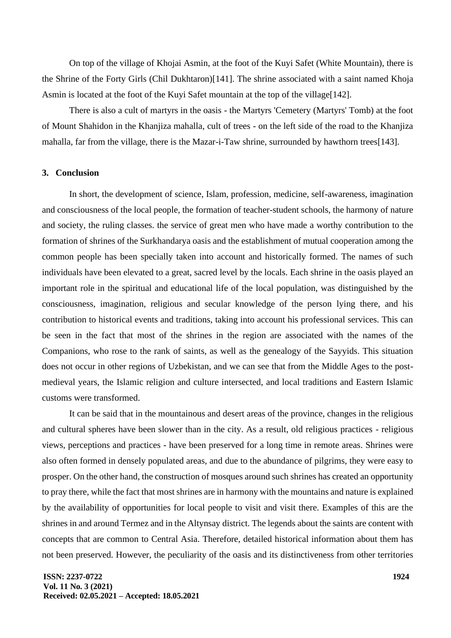On top of the village of Khojai Asmin, at the foot of the Kuyi Safet (White Mountain), there is the Shrine of the Forty Girls (Chil Dukhtaron)[141]. The shrine associated with a saint named Khoja Asmin is located at the foot of the Kuyi Safet mountain at the top of the village[142].

There is also a cult of martyrs in the oasis - the Martyrs 'Cemetery (Martyrs' Tomb) at the foot of Mount Shahidon in the Khanjiza mahalla, cult of trees - on the left side of the road to the Khanjiza mahalla, far from the village, there is the Mazar-i-Taw shrine, surrounded by hawthorn trees[143].

### **3. Conclusion**

In short, the development of science, Islam, profession, medicine, self-awareness, imagination and consciousness of the local people, the formation of teacher-student schools, the harmony of nature and society, the ruling classes. the service of great men who have made a worthy contribution to the formation of shrines of the Surkhandarya oasis and the establishment of mutual cooperation among the common people has been specially taken into account and historically formed. The names of such individuals have been elevated to a great, sacred level by the locals. Each shrine in the oasis played an important role in the spiritual and educational life of the local population, was distinguished by the consciousness, imagination, religious and secular knowledge of the person lying there, and his contribution to historical events and traditions, taking into account his professional services. This can be seen in the fact that most of the shrines in the region are associated with the names of the Companions, who rose to the rank of saints, as well as the genealogy of the Sayyids. This situation does not occur in other regions of Uzbekistan, and we can see that from the Middle Ages to the postmedieval years, the Islamic religion and culture intersected, and local traditions and Eastern Islamic customs were transformed.

It can be said that in the mountainous and desert areas of the province, changes in the religious and cultural spheres have been slower than in the city. As a result, old religious practices - religious views, perceptions and practices - have been preserved for a long time in remote areas. Shrines were also often formed in densely populated areas, and due to the abundance of pilgrims, they were easy to prosper. On the other hand, the construction of mosques around such shrines has created an opportunity to pray there, while the fact that most shrines are in harmony with the mountains and nature is explained by the availability of opportunities for local people to visit and visit there. Examples of this are the shrines in and around Termez and in the Altynsay district. The legends about the saints are content with concepts that are common to Central Asia. Therefore, detailed historical information about them has not been preserved. However, the peculiarity of the oasis and its distinctiveness from other territories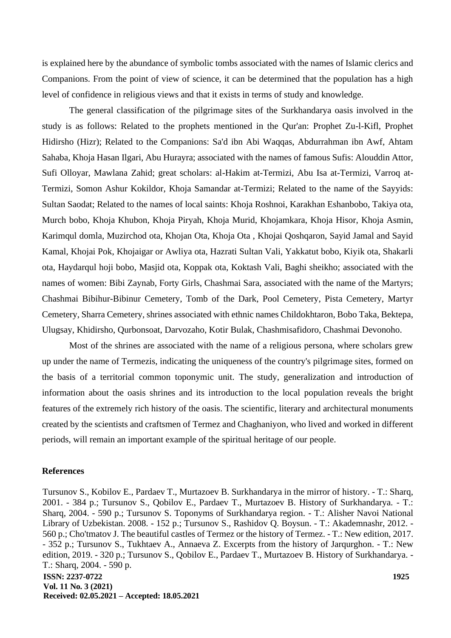is explained here by the abundance of symbolic tombs associated with the names of Islamic clerics and Companions. From the point of view of science, it can be determined that the population has a high level of confidence in religious views and that it exists in terms of study and knowledge.

The general classification of the pilgrimage sites of the Surkhandarya oasis involved in the study is as follows: Related to the prophets mentioned in the Qur'an: Prophet Zu-l-Kifl, Prophet Hidirsho (Hizr); Related to the Companions: Sa'd ibn Abi Waqqas, Abdurrahman ibn Awf, Ahtam Sahaba, Khoja Hasan Ilgari, Abu Hurayra; associated with the names of famous Sufis: Alouddin Attor, Sufi Olloyar, Mawlana Zahid; great scholars: al-Hakim at-Termizi, Abu Isa at-Termizi, Varroq at-Termizi, Somon Ashur Kokildor, Khoja Samandar at-Termizi; Related to the name of the Sayyids: Sultan Saodat; Related to the names of local saints: Khoja Roshnoi, Karakhan Eshanbobo, Takiya ota, Murch bobo, Khoja Khubon, Khoja Piryah, Khoja Murid, Khojamkara, Khoja Hisor, Khoja Asmin, Karimqul domla, Muzirchod ota, Khojan Ota, Khoja Ota , Khojai Qoshqaron, Sayid Jamal and Sayid Kamal, Khojai Pok, Khojaigar or Awliya ota, Hazrati Sultan Vali, Yakkatut bobo, Kiyik ota, Shakarli ota, Haydarqul hoji bobo, Masjid ota, Koppak ota, Koktash Vali, Baghi sheikho; associated with the names of women: Bibi Zaynab, Forty Girls, Chashmai Sara, associated with the name of the Martyrs; Chashmai Bibihur-Bibinur Cemetery, Tomb of the Dark, Pool Cemetery, Pista Cemetery, Martyr Cemetery, Sharra Cemetery, shrines associated with ethnic names Childokhtaron, Bobo Taka, Bektepa, Ulugsay, Khidirsho, Qurbonsoat, Darvozaho, Kotir Bulak, Chashmisafidoro, Chashmai Devonoho.

Most of the shrines are associated with the name of a religious persona, where scholars grew up under the name of Termezis, indicating the uniqueness of the country's pilgrimage sites, formed on the basis of a territorial common toponymic unit. The study, generalization and introduction of information about the oasis shrines and its introduction to the local population reveals the bright features of the extremely rich history of the oasis. The scientific, literary and architectural monuments created by the scientists and craftsmen of Termez and Chaghaniyon, who lived and worked in different periods, will remain an important example of the spiritual heritage of our people.

#### **References**

**ISSN: 2237-0722 Vol. 11 No. 3 (2021) Received: 02.05.2021 – Accepted: 18.05.2021 1925** Tursunov S., Kobilov E., Pardaev T., Murtazoev B. Surkhandarya in the mirror of history. - T.: Sharq, 2001. - 384 p.; Tursunov S., Qobilov E., Pardaev T., Murtazoev B. History of Surkhandarya. - T.: Sharq, 2004. - 590 p.; Tursunov S. Toponyms of Surkhandarya region. - T.: Alisher Navoi National Library of Uzbekistan. 2008. - 152 p.; Tursunov S., Rashidov Q. Boysun. - T.: Akademnashr, 2012. - 560 p.; Cho'tmatov J. The beautiful castles of Termez or the history of Termez. - T.: New edition, 2017. - 352 p.; Tursunov S., Tukhtaev A., Annaeva Z. Excerpts from the history of Jarqurghon. - T.: New edition, 2019. - 320 p.; Tursunov S., Qobilov E., Pardaev T., Murtazoev B. History of Surkhandarya. - T.: Sharq, 2004. - 590 p.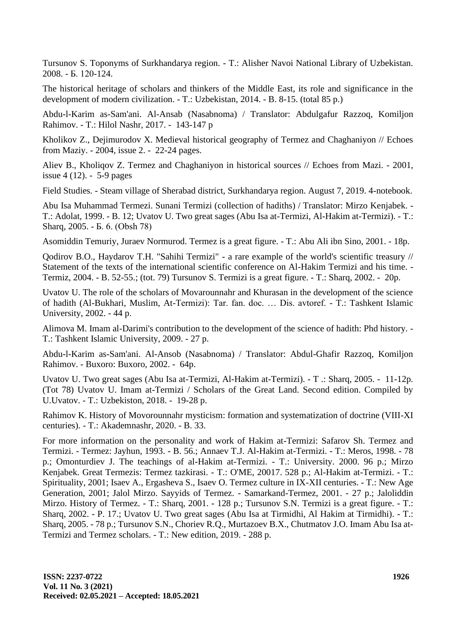Tursunov S. Toponyms of Surkhandarya region. - T.: Alisher Navoi National Library of Uzbekistan. 2008. - Б. 120-124.

The historical heritage of scholars and thinkers of the Middle East, its role and significance in the development of modern civilization. - T.: Uzbekistan, 2014. - B. 8-15. (total 85 p.)

Abdu-l-Karim as-Sam'ani. Al-Ansab (Nasabnoma) / Translator: Abdulgafur Razzoq, Komiljon Rahimov. - T.: Hilol Nashr, 2017. - 143-147 p

Kholikov Z., Dejimurodov X. Medieval historical geography of Termez and Chaghaniyon // Echoes from Maziy. - 2004, issue 2. - 22-24 pages.

Aliev B., Kholiqov Z. Termez and Chaghaniyon in historical sources // Echoes from Mazi. - 2001, issue 4 (12). - 5-9 pages

Field Studies. - Steam village of Sherabad district, Surkhandarya region. August 7, 2019. 4-notebook.

Abu Isa Muhammad Termezi. Sunani Termizi (collection of hadiths) / Translator: Mirzo Kenjabek. - T.: Adolat, 1999. - B. 12; Uvatov U. Two great sages (Abu Isa at-Termizi, Al-Hakim at-Termizi). - T.: Sharq, 2005. - Б. 6. (Obsh 78)

Asomiddin Temuriy, Juraev Normurod. Termez is a great figure. - T.: Abu Ali ibn Sino, 2001. - 18p.

Qodirov B.O., Haydarov T.H. "Sahihi Termizi" - a rare example of the world's scientific treasury // Statement of the texts of the international scientific conference on Al-Hakim Termizi and his time. - Termiz, 2004. - B. 52-55.; (tot. 79) Tursunov S. Termizi is a great figure. - T.: Sharq, 2002. - 20p.

Uvatov U. The role of the scholars of Movarounnahr and Khurasan in the development of the science of hadith (Al-Bukhari, Muslim, At-Termizi): Tar. fan. doc. … Dis. avtoref. - T.: Tashkent Islamic University, 2002. - 44 p.

Alimova M. Imam al-Darimi's contribution to the development of the science of hadith: Phd history. - T.: Tashkent Islamic University, 2009. - 27 p.

Abdu-l-Karim as-Sam'ani. Al-Ansob (Nasabnoma) / Translator: Abdul-Ghafir Razzoq, Komiljon Rahimov. - Buxoro: Buxoro, 2002. - 64p.

Uvatov U. Two great sages (Abu Isa at-Termizi, Al-Hakim at-Termizi). - T .: Sharq, 2005. - 11-12p. (Tot 78) Uvatov U. Imam at-Termizi / Scholars of the Great Land. Second edition. Compiled by U.Uvatov. - T.: Uzbekiston, 2018. - 19-28 p.

Rahimov K. History of Movorounnahr mysticism: formation and systematization of doctrine (VIII-XI centuries). - T.: Akademnashr, 2020. - B. 33.

For more information on the personality and work of Hakim at-Termizi: Safarov Sh. Termez and Termizi. - Termez: Jayhun, 1993. - B. 56.; Annaev T.J. Al-Hakim at-Termizi. - T.: Meros, 1998. - 78 p.; Omonturdiev J. The teachings of al-Hakim at-Termizi. - T.: University. 2000. 96 p.; Mirzo Kenjabek. Great Termezis: Termez tazkirasi. - T.: O'ME, 20017. 528 p.; Al-Hakim at-Termizi. - T.: Spirituality, 2001; Isaev A., Ergasheva S., Isaev O. Termez culture in IX-XII centuries. - T.: New Age Generation, 2001; Jalol Mirzo. Sayyids of Termez. - Samarkand-Termez, 2001. - 27 p.; Jaloliddin Mirzo. History of Termez. - T.: Sharq, 2001. - 128 p.; Tursunov S.N. Termizi is a great figure. - T.: Sharq, 2002. - P. 17.; Uvatov U. Two great sages (Abu Isa at Tirmidhi, Al Hakim at Tirmidhi). - T.: Sharq, 2005. - 78 p.; Tursunov S.N., Choriev R.Q., Murtazoev B.X., Chutmatov J.O. Imam Abu Isa at-Termizi and Termez scholars. - T.: New edition, 2019. - 288 p.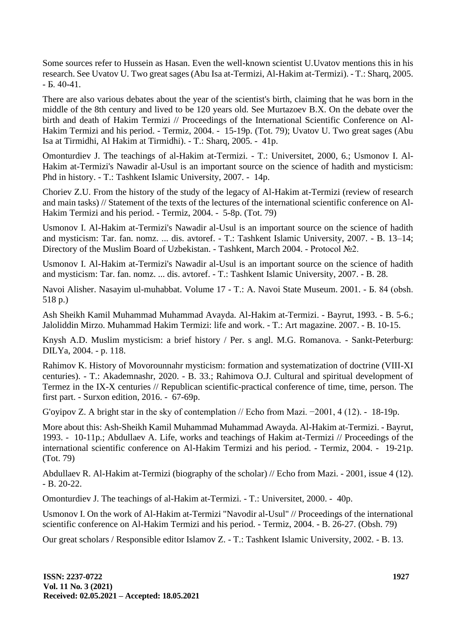Some sources refer to Hussein as Hasan. Even the well-known scientist U.Uvatov mentions this in his research. See Uvatov U. Two great sages (Abu Isa at-Termizi, Al-Hakim at-Termizi). - T.: Sharq, 2005. - Б. 40-41.

There are also various debates about the year of the scientist's birth, claiming that he was born in the middle of the 8th century and lived to be 120 years old. See Murtazoev B.X. On the debate over the birth and death of Hakim Termizi // Proceedings of the International Scientific Conference on Al-Hakim Termizi and his period. - Termiz, 2004. - 15-19p. (Tot. 79); Uvatov U. Two great sages (Abu Isa at Tirmidhi, Al Hakim at Tirmidhi). - T.: Sharq, 2005. - 41p.

Omonturdiev J. The teachings of al-Hakim at-Termizi. - T.: Universitet, 2000, 6.; Usmonov I. Al-Hakim at-Termizi's Nawadir al-Usul is an important source on the science of hadith and mysticism: Phd in history. - T.: Tashkent Islamic University, 2007. - 14p.

Choriev Z.U. From the history of the study of the legacy of Al-Hakim at-Termizi (review of research and main tasks) // Statement of the texts of the lectures of the international scientific conference on Al-Hakim Termizi and his period. - Termiz, 2004. - 5-8p. (Tot. 79)

Usmonov I. Al-Hakim at-Termizi's Nawadir al-Usul is an important source on the science of hadith and mysticism: Tar. fan. nomz. ... dis. avtoref. - T.: Tashkent Islamic University, 2007. - B. 13–14; Directory of the Muslim Board of Uzbekistan. - Tashkent, March 2004. - Protocol №2.

Usmonov I. Al-Hakim at-Termizi's Nawadir al-Usul is an important source on the science of hadith and mysticism: Tar. fan. nomz. ... dis. avtoref. - T.: Tashkent Islamic University, 2007. - B. 28.

Navoi Alisher. Nasayim ul-muhabbat. Volume 17 - T.: A. Navoi State Museum. 2001. - Б. 84 (obsh. 518 p.)

Ash Sheikh Kamil Muhammad Muhammad Avayda. Al-Hakim at-Termizi. - Bayrut, 1993. - B. 5-6.; Jaloliddin Mirzo. Muhammad Hakim Termizi: life and work. - T.: Art magazine. 2007. - B. 10-15.

Knysh A.D. Muslim mysticism: a brief history / Per. s angl. M.G. Romanova. - Sankt-Peterburg: DILYa, 2004. - p. 118.

Rahimov K. History of Movorounnahr mysticism: formation and systematization of doctrine (VIII-XI centuries). - T.: Akademnashr, 2020. - B. 33.; Rahimova O.J. Cultural and spiritual development of Termez in the IX-X centuries // Republican scientific-practical conference of time, time, person. The first part. - Surxon edition, 2016. - 67-69p.

G'oyipov Z. A bright star in the sky of contemplation // Echo from Mazi. −2001, 4 (12). - 18-19p.

More about this: Ash-Sheikh Kamil Muhammad Muhammad Awayda. Al-Hakim at-Termizi. - Bayrut, 1993. - 10-11p.; Abdullaev A. Life, works and teachings of Hakim at-Termizi // Proceedings of the international scientific conference on Al-Hakim Termizi and his period. - Termiz, 2004. - 19-21p. (Tot. 79)

Abdullaev R. Al-Hakim at-Termizi (biography of the scholar) // Echo from Mazi. - 2001, issue 4 (12). - B. 20-22.

Omonturdiev J. The teachings of al-Hakim at-Termizi. - T.: Universitet, 2000. - 40p.

Usmonov I. On the work of Al-Hakim at-Termizi "Navodir al-Usul" // Proceedings of the international scientific conference on Al-Hakim Termizi and his period. - Termiz, 2004. - B. 26-27. (Obsh. 79)

Our great scholars / Responsible editor Islamov Z. - T.: Tashkent Islamic University, 2002. - B. 13.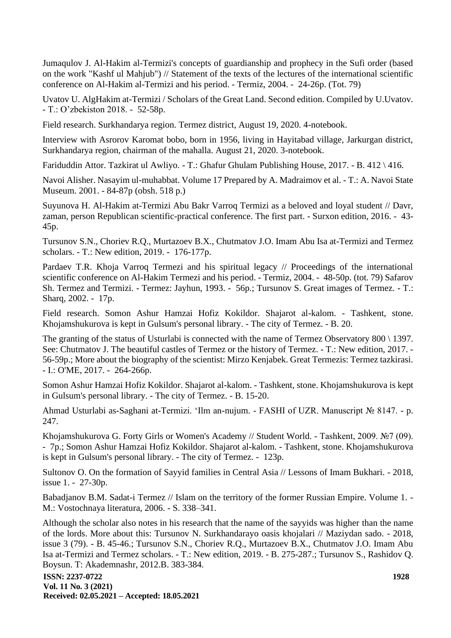Jumaqulov J. Al-Hakim al-Termizi's concepts of guardianship and prophecy in the Sufi order (based on the work "Kashf ul Mahjub") // Statement of the texts of the lectures of the international scientific conference on Al-Hakim al-Termizi and his period. - Termiz, 2004. - 24-26p. (Tot. 79)

Uvatov U. AlgHakim at-Termizi / Scholars of the Great Land. Second edition. Compiled by U.Uvatov. - T.: O'zbekiston 2018. - 52-58p.

Field research. Surkhandarya region. Termez district, August 19, 2020. 4-notebook.

Interview with Asrorov Karomat bobo, born in 1956, living in Hayitabad village, Jarkurgan district, Surkhandarya region, chairman of the mahalla. August 21, 2020. 3-notebook.

Fariduddin Attor. Tazkirat ul Awliyo. - T.: Ghafur Ghulam Publishing House, 2017. - B. 412 \ 416.

Navoi Alisher. Nasayim ul-muhabbat. Volume 17 Prepared by A. Madraimov et al. - T.: A. Navoi State Museum. 2001. - 84-87p (obsh. 518 p.)

Suyunova H. Al-Hakim at-Termizi Abu Bakr Varroq Termizi as a beloved and loyal student // Davr, zaman, person Republican scientific-practical conference. The first part. - Surxon edition, 2016. - 43- 45p.

Tursunov S.N., Choriev R.Q., Murtazoev B.X., Chutmatov J.O. Imam Abu Isa at-Termizi and Termez scholars. - T.: New edition, 2019. - 176-177p.

Pardaev T.R. Khoja Varroq Termezi and his spiritual legacy // Proceedings of the international scientific conference on Al-Hakim Termezi and his period. - Termiz, 2004. - 48-50p. (tot. 79) Safarov Sh. Termez and Termizi. - Termez: Jayhun, 1993. - 56p.; Tursunov S. Great images of Termez. - T.: Sharq, 2002. - 17p.

Field research. Somon Ashur Hamzai Hofiz Kokildor. Shajarot al-kalom. - Tashkent, stone. Khojamshukurova is kept in Gulsum's personal library. - The city of Termez. - B. 20.

The granting of the status of Usturlabi is connected with the name of Termez Observatory 800 \ 1397. See: Chutmatov J. The beautiful castles of Termez or the history of Termez. - T.: New edition, 2017. - 56-59p.; More about the biography of the scientist: Mirzo Kenjabek. Great Termezis: Termez tazkirasi. - I.: O'ME, 2017. - 264-266p.

Somon Ashur Hamzai Hofiz Kokildor. Shajarot al-kalom. - Tashkent, stone. Khojamshukurova is kept in Gulsum's personal library. - The city of Termez. - B. 15-20.

Ahmad Usturlabi as-Saghani at-Termizi. 'Ilm an-nujum. - FASHI of UZR. Manuscript № 8147. - p. 247.

Khojamshukurova G. Forty Girls or Women's Academy // Student World. - Tashkent, 2009. №7 (09). - 7p.; Somon Ashur Hamzai Hofiz Kokildor. Shajarot al-kalom. - Tashkent, stone. Khojamshukurova is kept in Gulsum's personal library. - The city of Termez. - 123p.

Sultonov O. On the formation of Sayyid families in Central Asia // Lessons of Imam Bukhari. - 2018, issue 1. - 27-30p.

Babadjanov B.M. Sadat-i Termez // Islam on the territory of the former Russian Empire. Volume 1. - M.: Vostochnaya literatura, 2006. - S. 338–341.

Although the scholar also notes in his research that the name of the sayyids was higher than the name of the lords. More about this: Tursunov N. Surkhandarayo oasis khojalari // Maziydan sado. - 2018, issue 3 (79). - B. 45-46.; Tursunov S.N., Choriev R.Q., Murtazoev B.X., Chutmatov J.O. Imam Abu Isa at-Termizi and Termez scholars. - T.: New edition, 2019. - B. 275-287.; Tursunov S., Rashidov Q. Boysun. T: Akademnashr, 2012.B. 383-384.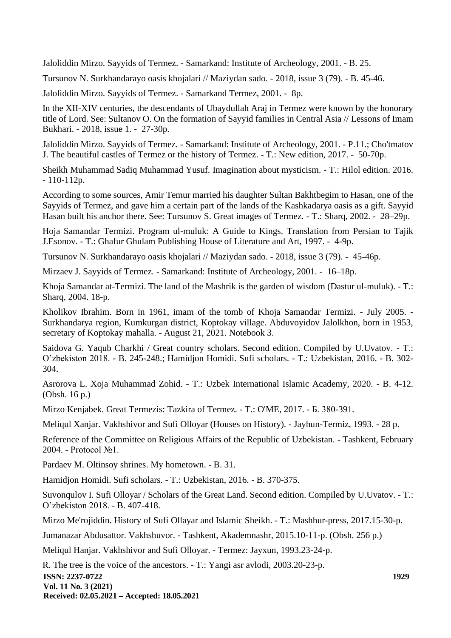Jaloliddin Mirzo. Sayyids of Termez. - Samarkand: Institute of Archeology, 2001. - B. 25.

Tursunov N. Surkhandarayo oasis khojalari // Maziydan sado. - 2018, issue 3 (79). - B. 45-46.

Jaloliddin Mirzo. Sayyids of Termez. - Samarkand Termez, 2001. - 8p.

In the XII-XIV centuries, the descendants of Ubaydullah Araj in Termez were known by the honorary title of Lord. See: Sultanov O. On the formation of Sayyid families in Central Asia // Lessons of Imam Bukhari. - 2018, issue 1. - 27-30p.

Jaloliddin Mirzo. Sayyids of Termez. - Samarkand: Institute of Archeology, 2001. - P.11.; Cho'tmatov J. The beautiful castles of Termez or the history of Termez. - T.: New edition, 2017. - 50-70p.

Sheikh Muhammad Sadiq Muhammad Yusuf. Imagination about mysticism. - T.: Hilol edition. 2016.  $-110-112p$ .

According to some sources, Amir Temur married his daughter Sultan Bakhtbegim to Hasan, one of the Sayyids of Termez, and gave him a certain part of the lands of the Kashkadarya oasis as a gift. Sayyid Hasan built his anchor there. See: Tursunov S. Great images of Termez. - T.: Sharq, 2002. - 28–29p.

Hoja Samandar Termizi. Program ul-muluk: A Guide to Kings. Translation from Persian to Tajik J.Esonov. - T.: Ghafur Ghulam Publishing House of Literature and Art, 1997. - 4-9p.

Tursunov N. Surkhandarayo oasis khojalari // Maziydan sado. - 2018, issue 3 (79). - 45-46p.

Mirzaev J. Sayyids of Termez. - Samarkand: Institute of Archeology, 2001. - 16–18p.

Khoja Samandar at-Termizi. The land of the Mashrik is the garden of wisdom (Dastur ul-muluk). - T.: Sharq, 2004. 18-p.

Kholikov Ibrahim. Born in 1961, imam of the tomb of Khoja Samandar Termizi. - July 2005. - Surkhandarya region, Kumkurgan district, Koptokay village. Abduvoyidov Jalolkhon, born in 1953, secretary of Koptokay mahalla. - August 21, 2021. Notebook 3.

Saidova G. Yaqub Charkhi / Great country scholars. Second edition. Compiled by U.Uvatov. - T.: O'zbekiston 2018. - B. 245-248.; Hamidjon Homidi. Sufi scholars. - T.: Uzbekistan, 2016. - B. 302- 304.

Asrorova L. Xoja Muhammad Zohid. - T.: Uzbek International Islamic Academy, 2020. - B. 4-12. (Obsh. 16 p.)

Mirzo Kenjabek. Great Termezis: Tazkira of Termez. - T.: O'ME, 2017. - Б. 380-391.

Meliqul Xanjar. Vakhshivor and Sufi Olloyar (Houses on History). - Jayhun-Termiz, 1993. - 28 p.

Reference of the Committee on Religious Affairs of the Republic of Uzbekistan. - Tashkent, February 2004. - Protocol №1.

Pardaev M. Oltinsoy shrines. My hometown. - B. 31.

Hamidjon Homidi. Sufi scholars. - T.: Uzbekistan, 2016. - B. 370-375.

Suvonqulov I. Sufi Olloyar / Scholars of the Great Land. Second edition. Compiled by U.Uvatov. - T.: O'zbekiston 2018. - B. 407-418.

Mirzo Me'rojiddin. History of Sufi Ollayar and Islamic Sheikh. - T.: Mashhur-press, 2017.15-30-p.

Jumanazar Abdusattor. Vakhshuvor. - Tashkent, Akademnashr, 2015.10-11-p. (Obsh. 256 p.)

Meliqul Hanjar. Vakhshivor and Sufi Olloyar. - Termez: Jayxun, 1993.23-24-p.

**ISSN: 2237-0722 Vol. 11 No. 3 (2021) Received: 02.05.2021 – Accepted: 18.05.2021 1929** R. The tree is the voice of the ancestors. - T.: Yangi asr avlodi, 2003.20-23-p.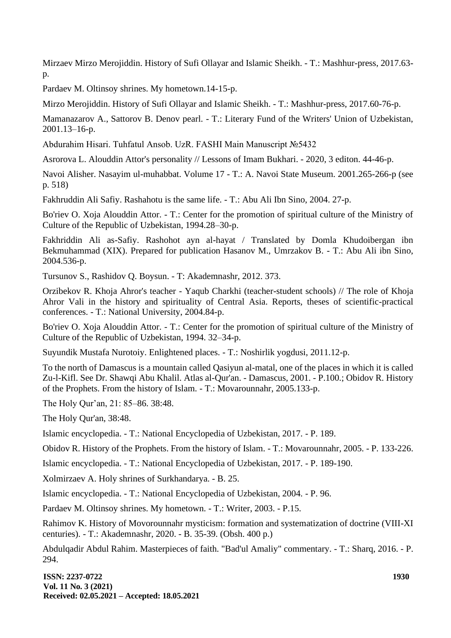Mirzaev Mirzo Merojiddin. History of Sufi Ollayar and Islamic Sheikh. - T.: Mashhur-press, 2017.63 p.

Pardaev M. Oltinsoy shrines. My hometown.14-15-p.

Mirzo Merojiddin. History of Sufi Ollayar and Islamic Sheikh. - T.: Mashhur-press, 2017.60-76-p.

Mamanazarov A., Sattorov B. Denov pearl. - T.: Literary Fund of the Writers' Union of Uzbekistan, 2001.13–16-p.

Abdurahim Hisari. Tuhfatul Ansob. UzR. FASHI Main Manuscript №5432

Asrorova L. Alouddin Attor's personality // Lessons of Imam Bukhari. - 2020, 3 editon. 44-46-p.

Navoi Alisher. Nasayim ul-muhabbat. Volume 17 - T.: A. Navoi State Museum. 2001.265-266-p (see p. 518)

Fakhruddin Ali Safiy. Rashahotu is the same life. - T.: Abu Ali Ibn Sino, 2004. 27-p.

Bo'riev O. Xoja Alouddin Attor. - T.: Center for the promotion of spiritual culture of the Ministry of Culture of the Republic of Uzbekistan, 1994.28–30-p.

Fakhriddin Ali as-Safiy. Rashohot ayn al-hayat / Translated by Domla Khudoibergan ibn Bekmuhammad (XIX). Prepared for publication Hasanov M., Umrzakov B. - T.: Abu Ali ibn Sino, 2004.536-p.

Tursunov S., Rashidov Q. Boysun. - T: Akademnashr, 2012. 373.

Orzibekov R. Khoja Ahror's teacher - Yaqub Charkhi (teacher-student schools) // The role of Khoja Ahror Vali in the history and spirituality of Central Asia. Reports, theses of scientific-practical conferences. - T.: National University, 2004.84-p.

Bo'riev O. Xoja Alouddin Attor. - T.: Center for the promotion of spiritual culture of the Ministry of Culture of the Republic of Uzbekistan, 1994. 32–34-p.

Suyundik Mustafa Nurotoiy. Enlightened places. - T.: Noshirlik yogdusi, 2011.12-p.

To the north of Damascus is a mountain called Qasiyun al-matal, one of the places in which it is called Zu-l-Kifl. See Dr. Shawqi Abu Khalil. Atlas al-Qur'an. - Damascus, 2001. - P.100.; Obidov R. History of the Prophets. From the history of Islam. - T.: Movarounnahr, 2005.133-p.

The Holy Qur'an, 21: 85–86. 38:48.

The Holy Qur'an, 38:48.

Islamic encyclopedia. - T.: National Encyclopedia of Uzbekistan, 2017. - P. 189.

Obidov R. History of the Prophets. From the history of Islam. - T.: Movarounnahr, 2005. - P. 133-226.

Islamic encyclopedia. - T.: National Encyclopedia of Uzbekistan, 2017. - P. 189-190.

Xolmirzaev A. Holy shrines of Surkhandarya. - B. 25.

Islamic encyclopedia. - T.: National Encyclopedia of Uzbekistan, 2004. - P. 96.

Pardaev M. Oltinsoy shrines. My hometown. - T.: Writer, 2003. - P.15.

Rahimov K. History of Movorounnahr mysticism: formation and systematization of doctrine (VIII-XI centuries). - T.: Akademnashr, 2020. - B. 35-39. (Obsh. 400 p.)

Abdulqadir Abdul Rahim. Masterpieces of faith. "Bad'ul Amaliy" commentary. - T.: Sharq, 2016. - P. 294.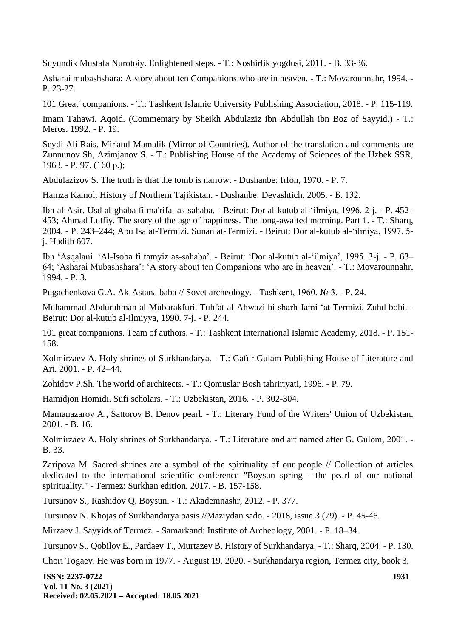Suyundik Mustafa Nurotoiy. Enlightened steps. - T.: Noshirlik yogdusi, 2011. - B. 33-36.

Asharai mubashshara: A story about ten Companions who are in heaven. - T.: Movarounnahr, 1994. - P. 23-27.

101 Great' companions. - T.: Tashkent Islamic University Publishing Association, 2018. - P. 115-119.

Imam Tahawi. Aqoid. (Commentary by Sheikh Abdulaziz ibn Abdullah ibn Boz of Sayyid.) - T.: Meros. 1992. - P. 19.

Seydi Ali Rais. Mir'atul Mamalik (Mirror of Countries). Author of the translation and comments are Zunnunov Sh, Azimjanov S. - T.: Publishing House of the Academy of Sciences of the Uzbek SSR, 1963. - P. 97. (160 p.);

Abdulazizov S. The truth is that the tomb is narrow. - Dushanbe: Irfon, 1970. - P. 7.

Hamza Kamol. History of Northern Tajikistan. - Dushanbe: Devashtich, 2005. - Б. 132.

Ibn al-Asir. Usd al-ghaba fi ma'rifat as-sahaba. - Beirut: Dor al-kutub al-'ilmiya, 1996. 2-j. - P. 452– 453; Ahmad Lutfiy. The story of the age of happiness. The long-awaited morning. Part 1. - T.: Sharq, 2004. - P. 243–244; Abu Isa at-Termizi. Sunan at-Termizi. - Beirut: Dor al-kutub al-'ilmiya, 1997. 5 j. Hadith 607.

Ibn 'Asqalani. 'Al-Isoba fi tamyiz as-sahaba'. - Beirut: 'Dor al-kutub al-'ilmiya', 1995. 3-j. - P. 63– 64; 'Asharai Mubashshara': 'A story about ten Companions who are in heaven'. - T.: Movarounnahr, 1994. - P. 3.

Pugachenkova G.A. Ak-Astana baba // Sovet archeology. - Tashkent, 1960. № 3. - P. 24.

Muhammad Abdurahman al-Mubarakfuri. Tuhfat al-Ahwazi bi-sharh Jami 'at-Termizi. Zuhd bobi. - Beirut: Dor al-kutub al-ilmiyya, 1990. 7-j. - P. 244.

101 great companions. Team of authors. - T.: Tashkent International Islamic Academy, 2018. - P. 151- 158.

Xolmirzaev A. Holy shrines of Surkhandarya. - T.: Gafur Gulam Publishing House of Literature and Art. 2001. - P. 42–44.

Zohidov P.Sh. The world of architects. - T.: Qomuslar Bosh tahririyati, 1996. - P. 79.

Hamidjon Homidi. Sufi scholars. - T.: Uzbekistan, 2016. - P. 302-304.

Mamanazarov A., Sattorov B. Denov pearl. - T.: Literary Fund of the Writers' Union of Uzbekistan, 2001. - B. 16.

Xolmirzaev A. Holy shrines of Surkhandarya. - T.: Literature and art named after G. Gulom, 2001. - B. 33.

Zaripova M. Sacred shrines are a symbol of the spirituality of our people // Collection of articles dedicated to the international scientific conference "Boysun spring - the pearl of our national spirituality." - Termez: Surkhan edition, 2017. - B. 157-158.

Tursunov S., Rashidov Q. Boysun. - T.: Akademnashr, 2012. - P. 377.

Tursunov N. Khojas of Surkhandarya oasis //Maziydan sado. - 2018, issue 3 (79). - P. 45-46.

Mirzaev J. Sayyids of Termez. - Samarkand: Institute of Archeology, 2001. - P. 18–34.

Tursunov S., Qobilov E., Pardaev T., Murtazev B. History of Surkhandarya. - T.: Sharq, 2004. - P. 130.

Chori Togaev. He was born in 1977. - August 19, 2020. - Surkhandarya region, Termez city, book 3.

**ISSN: 2237-0722 Vol. 11 No. 3 (2021) Received: 02.05.2021 – Accepted: 18.05.2021**